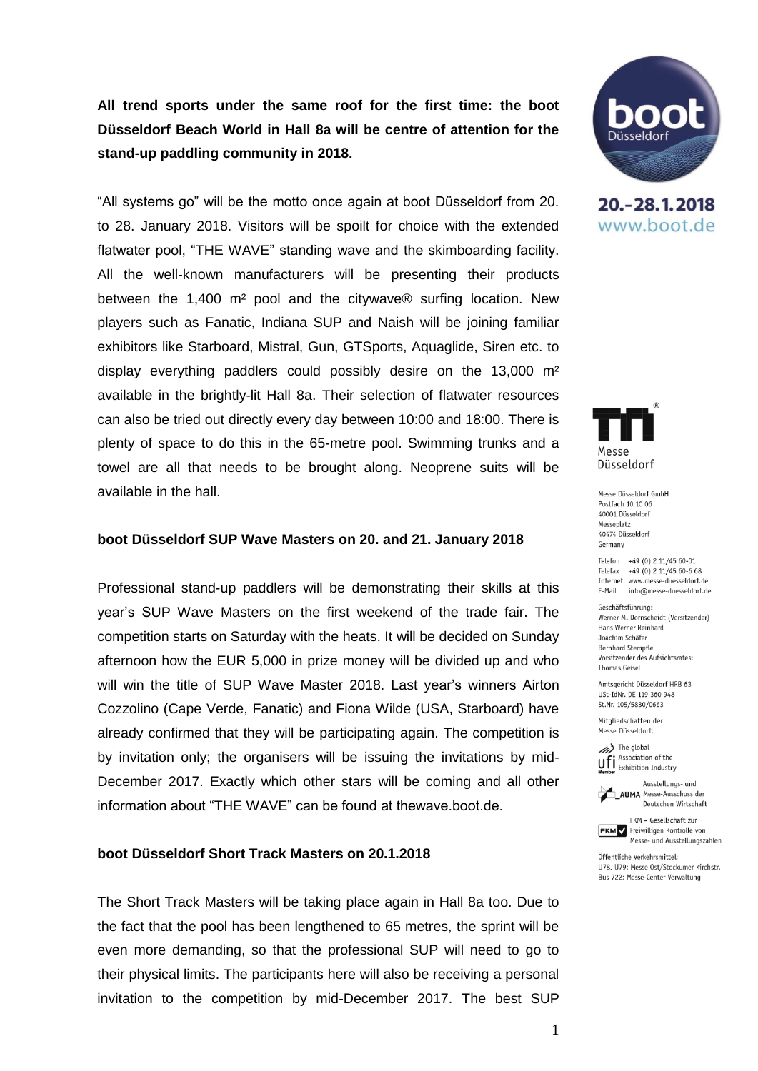# **All trend sports under the same roof for the first time: the boot Düsseldorf Beach World in Hall 8a will be centre of attention for the stand-up paddling community in 2018.**

"All systems go" will be the motto once again at boot Düsseldorf from 20. to 28. January 2018. Visitors will be spoilt for choice with the extended flatwater pool, "THE WAVE" standing wave and the skimboarding facility. All the well-known manufacturers will be presenting their products between the 1,400 m² pool and the citywave® surfing location. New players such as Fanatic, Indiana SUP and Naish will be joining familiar exhibitors like Starboard, Mistral, Gun, GTSports, Aquaglide, Siren etc. to display everything paddlers could possibly desire on the 13,000 m² available in the brightly-lit Hall 8a. Their selection of flatwater resources can also be tried out directly every day between 10:00 and 18:00. There is plenty of space to do this in the 65-metre pool. Swimming trunks and a towel are all that needs to be brought along. Neoprene suits will be available in the hall.

#### **boot Düsseldorf SUP Wave Masters on 20. and 21. January 2018**

Professional stand-up paddlers will be demonstrating their skills at this year's SUP Wave Masters on the first weekend of the trade fair. The competition starts on Saturday with the heats. It will be decided on Sunday afternoon how the EUR 5,000 in prize money will be divided up and who will win the title of SUP Wave Master 2018. Last year's winners Airton Cozzolino (Cape Verde, Fanatic) and Fiona Wilde (USA, Starboard) have already confirmed that they will be participating again. The competition is by invitation only; the organisers will be issuing the invitations by mid-December 2017. Exactly which other stars will be coming and all other information about "THE WAVE" can be found at thewave.boot.de.

#### **boot Düsseldorf Short Track Masters on 20.1.2018**

The Short Track Masters will be taking place again in Hall 8a too. Due to the fact that the pool has been lengthened to 65 metres, the sprint will be even more demanding, so that the professional SUP will need to go to their physical limits. The participants here will also be receiving a personal invitation to the competition by mid-December 2017. The best SUP



20. - 28. 1. 2018 www.boot.de



Messe Düsseldorf GmbH Postfach 10 10 06 40001 Diisseldorf Messeplatz 40474 Diisseldorf Germany

Telefon +49 (0) 2 11/45 60-01 Telefax +49 (0) 2 11/45 60-6 68 Internet www.messe-duesseldorf.de E-Mail info@messe-duesseldorf.de

Geschäftsführung: Werner M. Dornscheidt (Vorsitzender) Hans Werner Reinhard Joachim Schäfer **Bernhard Stempfle** Vorsitzender des Aufsichtsrates: **Thomas Geisel** 

Amtsgericht Düsseldorf HRB 63 USt-IdNr. DE 119 360 948 St.Nr. 105/5830/0663

Mitgliedschaften der Messe Düsseldorf:

(//// The global Association of the **UFI** Association of the<br>**Member** Exhibition Industry

Ausstellungs- und **AIIMA** Messe-Ausschuss der Deutschen Wirtschaft



Öffentliche Verkehrsmittel: U78, U79: Messe Ost/Stockumer Kirchstr. Bus 722: Messe-Center Verwaltung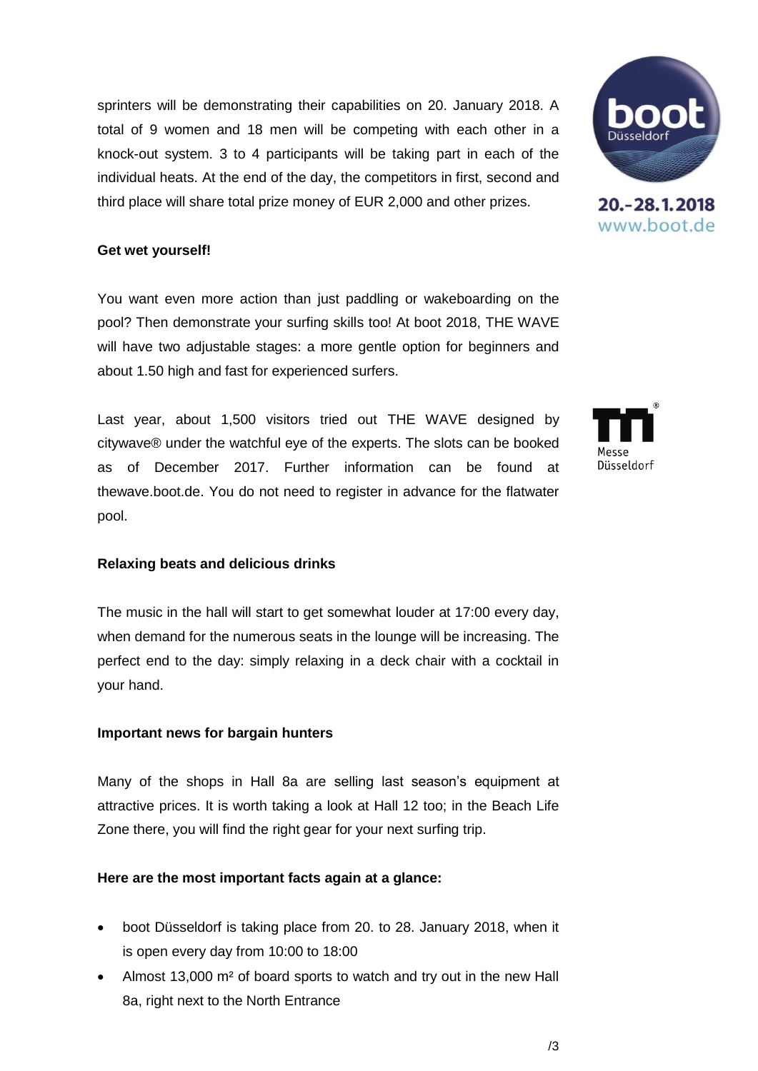sprinters will be demonstrating their capabilities on 20. January 2018. A total of 9 women and 18 men will be competing with each other in a knock-out system. 3 to 4 participants will be taking part in each of the individual heats. At the end of the day, the competitors in first, second and third place will share total prize money of EUR 2,000 and other prizes.

## **Get wet yourself!**

You want even more action than just paddling or wakeboarding on the pool? Then demonstrate your surfing skills too! At boot 2018, THE WAVE will have two adjustable stages: a more gentle option for beginners and about 1.50 high and fast for experienced surfers.

Last year, about 1,500 visitors tried out THE WAVE designed by citywave® under the watchful eye of the experts. The slots can be booked as of December 2017. Further information can be found at thewave.boot.de. You do not need to register in advance for the flatwater pool.

# **Relaxing beats and delicious drinks**

The music in the hall will start to get somewhat louder at 17:00 every day, when demand for the numerous seats in the lounge will be increasing. The perfect end to the day: simply relaxing in a deck chair with a cocktail in your hand.

### **Important news for bargain hunters**

Many of the shops in Hall 8a are selling last season's equipment at attractive prices. It is worth taking a look at Hall 12 too; in the Beach Life Zone there, you will find the right gear for your next surfing trip.

# **Here are the most important facts again at a glance:**

- boot Düsseldorf is taking place from 20. to 28. January 2018, when it is open every day from 10:00 to 18:00
- Almost 13,000 m² of board sports to watch and try out in the new Hall 8a, right next to the North Entrance





20. - 28. 1. 2018 www.boot.de